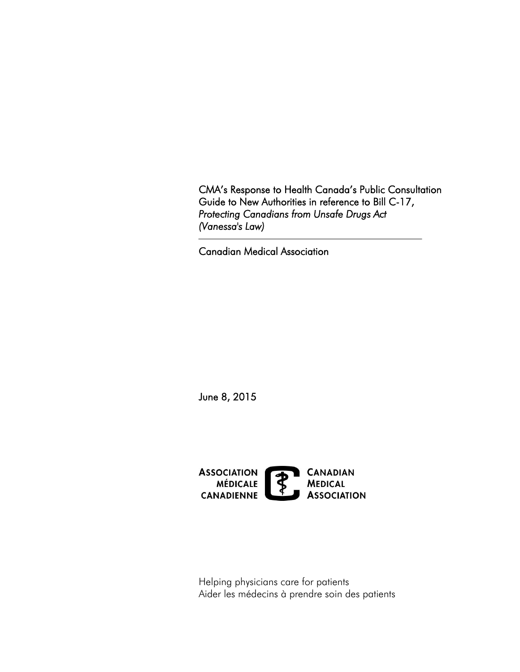CMA's Response to Health Canada's Public Consultation Guide to New Authorities in reference to Bill C-17, *Protecting Canadians from Unsafe Drugs Act (Vanessa's Law)* 

Canadian Medical Association

June 8, 2015



Helping physicians care for patients Aider les médecins à prendre soin des patients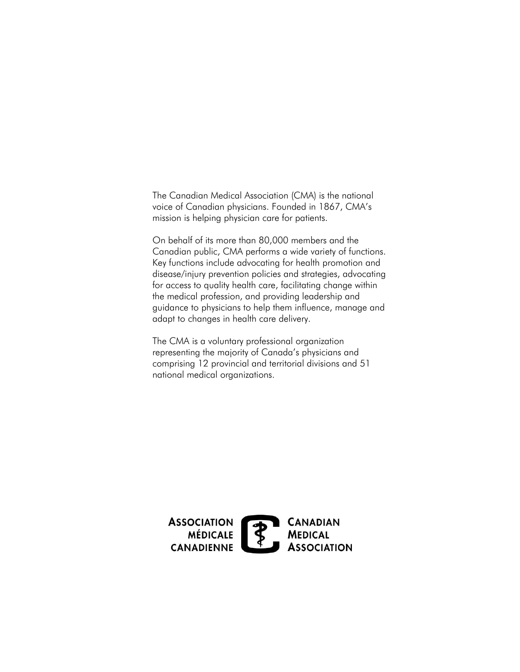The Canadian Medical Association (CMA) is the national voice of Canadian physicians. Founded in 1867, CMA's mission is helping physician care for patients.

On behalf of its more than 80,000 members and the Canadian public, CMA performs a wide variety of functions. Key functions include advocating for health promotion and disease/injury prevention policies and strategies, advocating for access to quality health care, facilitating change within the medical profession, and providing leadership and guidance to physicians to help them influence, manage and adapt to changes in health care delivery.

The CMA is a voluntary professional organization representing the majority of Canada's physicians and comprising 12 provincial and territorial divisions and 51 national medical organizations.

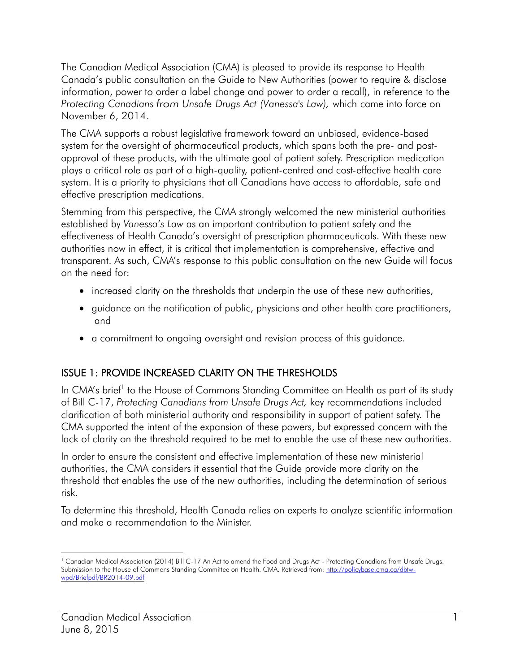The Canadian Medical Association (CMA) is pleased to provide its response to Health Canada's public consultation on the Guide to New Authorities (power to require & disclose information, power to order a label change and power to order a recall), in reference to the *Protecting Canadians from Unsafe Drugs Act (Vanessa's Law),* which came into force on November 6, 2014.

The CMA supports a robust legislative framework toward an unbiased, evidence-based system for the oversight of pharmaceutical products, which spans both the pre- and postapproval of these products, with the ultimate goal of patient safety. Prescription medication plays a critical role as part of a high-quality, patient-centred and cost-effective health care system. It is a priority to physicians that all Canadians have access to affordable, safe and effective prescription medications.

Stemming from this perspective, the CMA strongly welcomed the new ministerial authorities established by *Vanessa's Law* as an important contribution to patient safety and the effectiveness of Health Canada's oversight of prescription pharmaceuticals. With these new authorities now in effect, it is critical that implementation is comprehensive, effective and transparent. As such, CMA's response to this public consultation on the new Guide will focus on the need for:

- increased clarity on the thresholds that underpin the use of these new authorities,
- guidance on the notification of public, physicians and other health care practitioners, and
- a commitment to ongoing oversight and revision process of this guidance.

# ISSUE 1: PROVIDE INCREASED CLARITY ON THE THRESHOLDS

 of Bill C-17, *Protecting Canadians from Unsafe Drugs Act,* key recommendations included lack of clarity on the threshold required to be met to enable the use of these new authorities. In CMA's brief<sup>1</sup> to the House of Commons Standing Committee on Health as part of its study clarification of both ministerial authority and responsibility in support of patient safety. The CMA supported the intent of the expansion of these powers, but expressed concern with the

risk. In order to ensure the consistent and effective implementation of these new ministerial authorities, the CMA considers it essential that the Guide provide more clarity on the threshold that enables the use of the new authorities, including the determination of serious

To determine this threshold, Health Canada relies on experts to analyze scientific information and make a recommendation to the Minister.

 $\overline{a}$ Submission to the House of Commons Standing Committee on Health. CMA. Retrieved from: http://policybase.cma.ca/dbtw-<sup>1</sup> Canadian Medical Association (2014) Bill C-17 An Act to amend the Food and Drugs Act - Protecting Canadians from Unsafe Drugs. [wpd/Briefpdf/BR2014-09.pdf](http://policybase.cma.ca/dbtw-wpd/Briefpdf/BR2014-09.pdf)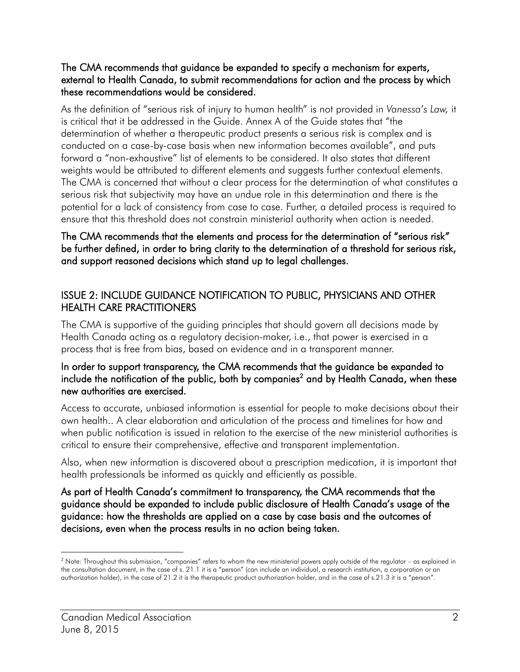#### The CMA recommends that guidance be expanded to specify a mechanism for experts, external to Health Canada, to submit recommendations for action and the process by which these recommendations would be considered.

ensure that this threshold does not constrain ministerial authority when action is needed. As the definition of "serious risk of injury to human health" is not provided in *Vanessa's Law,* it is critical that it be addressed in the Guide. Annex A of the Guide states that "the determination of whether a therapeutic product presents a serious risk is complex and is conducted on a case-by-case basis when new information becomes available", and puts forward a "non-exhaustive" list of elements to be considered. It also states that different weights would be attributed to different elements and suggests further contextual elements. The CMA is concerned that without a clear process for the determination of what constitutes a serious risk that subjectivity may have an undue role in this determination and there is the potential for a lack of consistency from case to case. Further, a detailed process is required to

### and support reasoned decisions which stand up to legal challenges. The CMA recommends that the elements and process for the determination of "serious risk" be further defined, in order to bring clarity to the determination of a threshold for serious risk,

## ISSUE 2: INCLUDE GUIDANCE NOTIFICATION TO PUBLIC, PHYSICIANS AND OTHER HEALTH CARE PRACTITIONERS

The CMA is supportive of the guiding principles that should govern all decisions made by Health Canada acting as a regulatory decision-maker, i.e., that power is exercised in a process that is free from bias, based on evidence and in a transparent manner.

#### new authorities are exercised. In order to support transparency, the CMA recommends that the guidance be expanded to include the notification of the public, both by companies<sup>2</sup> and by Health Canada, when these

critical to ensure their comprehensive, effective and transparent implementation. Access to accurate, unbiased information is essential for people to make decisions about their own health.. A clear elaboration and articulation of the process and timelines for how and when public notification is issued in relation to the exercise of the new ministerial authorities is

 health professionals be informed as quickly and efficiently as possible. Also, when new information is discovered about a prescription medication, it is important that

As part of Health Canada's commitment to transparency, the CMA recommends that the guidance should be expanded to include public disclosure of Health Canada's usage of the guidance: how the thresholds are applied on a case by case basis and the outcomes of decisions, even when the process results in no action being taken.

 $\overline{a}$ 

 the consultation document, in the case of s. 21.1 it is a "person" (can include an individual, a research institution, a corporation or an authorization holder), in the case of 21.2 it is the therapeutic product authorization holder, and in the case of s.21.3 it is a "person". <sup>2</sup> Note: Throughout this submission, "companies" refers to whom the new ministerial powers apply outside of the regulator – as explained in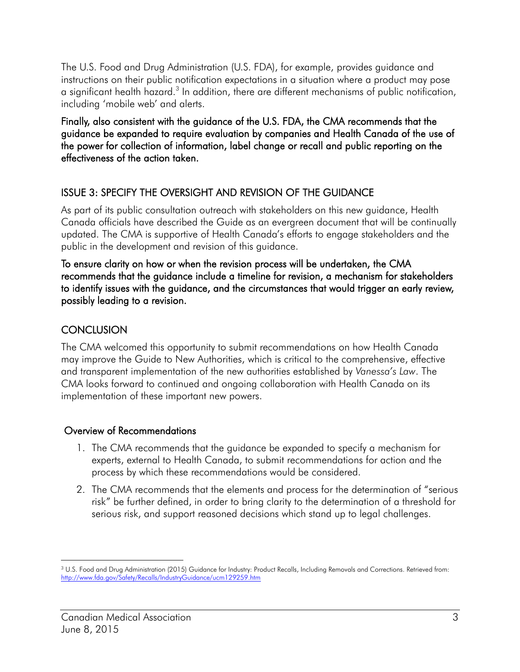instructions on their public notification expectations in a situation where a product may pose The U.S. Food and Drug Administration (U.S. FDA), for example, provides guidance and a significant health hazard.<sup>3</sup> In addition, there are different mechanisms of public notification, including 'mobile web' and alerts.

effectiveness of the action taken. Finally, also consistent with the guidance of the U.S. FDA, the CMA recommends that the guidance be expanded to require evaluation by companies and Health Canada of the use of the power for collection of information, label change or recall and public reporting on the

## ISSUE 3: SPECIFY THE OVERSIGHT AND REVISION OF THE GUIDANCE

As part of its public consultation outreach with stakeholders on this new guidance, Health Canada officials have described the Guide as an evergreen document that will be continually updated. The CMA is supportive of Health Canada's efforts to engage stakeholders and the

public in the development and revision of this guidance.<br>To ensure clarity on how or when the revision process will be undertaken, the CMA recommends that the guidance include a timeline for revision, a mechanism for stakeholders to identify issues with the guidance, and the circumstances that would trigger an early review, possibly leading to a revision.

## **CONCLUSION**

The CMA welcomed this opportunity to submit recommendations on how Health Canada may improve the Guide to New Authorities, which is critical to the comprehensive, effective and transparent implementation of the new authorities established by *Vanessa's Law*. The CMA looks forward to continued and ongoing collaboration with Health Canada on its implementation of these important new powers.

### Overview of Recommendations

- 1. The CMA recommends that the guidance be expanded to specify a mechanism for experts, external to Health Canada, to submit recommendations for action and the process by which these recommendations would be considered.
- 2. The CMA recommends that the elements and process for the determination of "serious risk" be further defined, in order to bring clarity to the determination of a threshold for serious risk, and support reasoned decisions which stand up to legal challenges.

 $\overline{a}$  $3$  U.S. Food and Drug Administration (2015) Guidance for Industry: Product Recalls, Including Removals and Corrections. Retrieved from: http://www.fda.gov/Safety/Recalls/IndustryGuidance/ucm129259.htm